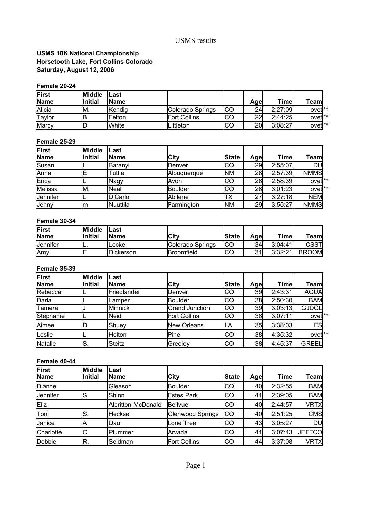### **USMS 10K National Championship Saturday, August 12, 2006 Horsetooth Lake, Fort Collins Colorado**

#### **Female 20-24**

| First<br>Name | <b>I</b> Middle<br><b>Initial</b> | Last<br><b>IName</b> |                     |     | Age             | Timel   | Team               |
|---------------|-----------------------------------|----------------------|---------------------|-----|-----------------|---------|--------------------|
| Alicia        | IM.                               | Kendig               | Colorado Springs    | ICO | 24              | 2:27:09 | ovet <sup>**</sup> |
| 'Taylor       | В                                 | <b>IFelton</b>       | <b>Fort Collins</b> | ICO | ററി<br>∠∠       | 2:44:25 | ovet <sup>**</sup> |
| <b>IMarcy</b> | ◡                                 | <b>White</b>         | Littleton           | ICO | 20 <sub>l</sub> | 3:08:27 | ovet <sup>**</sup> |

#### **Female 25-29**

| First           | <b>Middle</b>  | lLast            |                    |            |            |         |                    |
|-----------------|----------------|------------------|--------------------|------------|------------|---------|--------------------|
| <b>Name</b>     | <b>Initial</b> | <b>IName</b>     | City               | lState     | Age        | Timel   | Teaml              |
| Susan           | ╺              | <b>I</b> Baranvi | lDenver            | ICO        | <b>29I</b> | 2:55:07 | DU                 |
| <b>I</b> Anna   | ΙE             | Tuttle           | <b>Albuquerque</b> | <b>INM</b> | 28         | 2:57:39 | <b>NMMS</b>        |
| Erica           | ட              | Nagy             | lAvon              | IСO        | 26         | 2:58:39 | ovet <sup>**</sup> |
| Melissa         | IM.            | <b>Neal</b>      | Boulder            | IСO        | 28         | 3:01:23 | ovet <sup>**</sup> |
| <b>Jennifer</b> | ட              | DiCarlo          | Abilene            | ТX         | 27         | 3:27:18 | <b>NEM</b>         |
| <b>Jenny</b>    | Im             | <b>INuuttila</b> | Farmington         | <b>INM</b> | 29         | 3:55:27 | <b>NMMS</b>        |

#### **Female 30-34**

| First<br>Name   | <b>IMiddle</b><br><b>Initial</b> | lLast<br><b>IName</b> | lCitv               | lState | Agel | Time    | Team         |
|-----------------|----------------------------------|-----------------------|---------------------|--------|------|---------|--------------|
| <b>Jennifer</b> | . .                              | ∟ocke                 | Colorado Springs    | ICC    | 34   | 3:04:41 | <b>CSST</b>  |
| <b>IAmv</b>     |                                  | Dickerson             | <b>I</b> Broomfield | ICO    | 31   | 3:32:21 | <b>BROOM</b> |

#### **Female 35-39**

| First       | <b>Middle</b>  | Last         |                       |        |      |         |                    |
|-------------|----------------|--------------|-----------------------|--------|------|---------|--------------------|
| <b>Name</b> | <b>Initial</b> | <b>IName</b> | City                  | lState | Agel | Timel   | Teaml              |
| Rebecca     |                | Friedlander  | lDenver               | CО     | 39   | 2:43:31 | <b>AQUA</b>        |
| Darla       |                | Lamper       | Boulder               | CO     | 38   | 2:50:30 | <b>BAM</b>         |
| Tamera      |                | Minnick      | <b>Grand Junction</b> | CО     | 39   | 3:03:13 | <b>GJDOL</b>       |
| Stephanie   |                | Neid         | <b>Fort Collins</b>   | CО     | 36I  | 3:07:11 | ovet <sup>**</sup> |
| Aimee       |                | lShuev       | <b>I</b> New Orleans  | LA     | 35   | 3:38:03 | <b>ES</b>          |
| Leslie      |                | Holton       | Pine                  | IСO    | 38   | 4:35:32 | ovet <sup>**</sup> |
| Natalie     | lS.            | Steitz       | Greeley               | CО     | 38   | 4:45:37 | <b>GREEL</b>       |

#### **Female 40-44**

| First<br>Name   | <b>Middle</b><br>lInitial | Last<br><b>IName</b> | <b>City</b>         | <b>State</b> | <b>Agel</b> | Timel   | Teaml         |
|-----------------|---------------------------|----------------------|---------------------|--------------|-------------|---------|---------------|
| Dianne          |                           | Gleason              | Boulder             | IСO          | 40I         | 2:32:55 | <b>BAM</b>    |
| <b>Jennifer</b> | S.                        | Shinn                | <b>Estes Park</b>   | lсо          | 41          | 2:39:05 | <b>BAM</b>    |
| Eliz            |                           | Albritton-McDonald   | Bellvue             | CО           | 40I         | 2:44:57 | <b>VRTX</b>   |
| Toni            | IS.                       | Hecksel              | Glenwood Springs    | IСO          | 40I         | 2:51:25 | <b>CMS</b>    |
| Janice          | Α                         | lDau                 | Lone Tree           | IСO          | 43I         | 3:05:27 | <b>DU</b>     |
| Charlotte       | C                         | Plummer              | <b>I</b> Arvada     | IСO          | 41          | 3:07:43 | <b>JEFFCO</b> |
| Debbie          | R.                        | Seidman              | <b>Fort Collins</b> | IСO          | 44l         | 3:37:08 | <b>VRTX</b>   |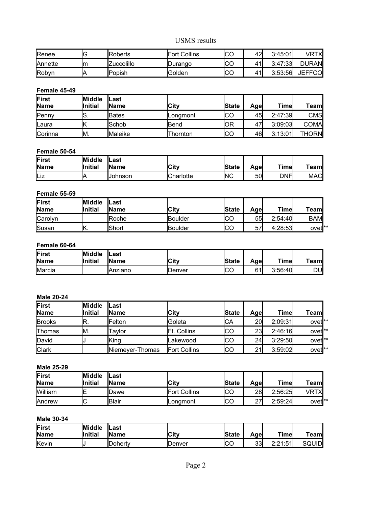| Renee          | ົ<br>v | Roberts        | <b>IFort Collins</b> | ICO | 42' | 3:45:01 | VRTXI         |
|----------------|--------|----------------|----------------------|-----|-----|---------|---------------|
| <b>Annette</b> | Im     | Zuccolillo     | <b>IDurango</b>      | ICC | 41' | 3:47:33 | <b>DURAN</b>  |
| Robyn          | ıΑ     | <b>IPopish</b> | <b>IGolden</b>       | ICC | 41' | 3:53:56 | <b>JEFFCO</b> |

#### **Female 45-49**

| First<br><b>Name</b> | <b>IMiddle</b><br><b>Initial</b> | lLast<br><b>IName</b> | <b>ICity</b> | <b>State</b> | Agel | Time    | Team         |
|----------------------|----------------------------------|-----------------------|--------------|--------------|------|---------|--------------|
| Penny                | IS.                              | <b>Bates</b>          | lLongmont    | ICO          | 45I  | 2:47:39 | CMS          |
| <b>I</b> Laura       |                                  | <b>Schob</b>          | lBend        | lOR          | 47   | 3:09:03 | <b>COMA</b>  |
| Corinna              | IM.                              | <b>Maleike</b>        | Thornton     | lco          | 46I  | 3:13:01 | <b>THORN</b> |

#### **Female 50-54**

| First<br><b>Name</b> | <b>Middle</b><br><b>Initial</b> | <b>ILast</b><br><b>Name</b> | <b>ICity</b> | <b>State</b> | Age∣ | Timer      | Team       |
|----------------------|---------------------------------|-----------------------------|--------------|--------------|------|------------|------------|
| Liz                  | Р                               | IJohnson                    | Charlotte    | <b>INC</b>   | 50   | <b>DNF</b> | <b>MAC</b> |

#### **Female 55-59**

| First<br><b>Name</b> | <b>IMiddle</b><br><b>Initial</b> | Last<br><b>Name</b> | <b>City</b>    | <b>State</b> | Agel | <b>Timel</b> | Team               |
|----------------------|----------------------------------|---------------------|----------------|--------------|------|--------------|--------------------|
| Carolyn              |                                  | <b>Roche</b>        | <b>Boulder</b> | ICC<br>טשו   | 55I  | 2:54:40      | <b>BAM</b>         |
| Susan                | . .                              | lShort              | <b>Boulder</b> | ICO          | 57   | 4:28:53      | ovet <sup>**</sup> |

#### **Female 60-64**

| First<br><b>Name</b> | <b>Middle</b><br><b>Initial</b> | lLast<br><b>IName</b> | lCitv          | <b>State</b> | Agel | Timel   | $T$ eam |
|----------------------|---------------------------------|-----------------------|----------------|--------------|------|---------|---------|
| Marcia               |                                 | IAnziano              | <b>IDenver</b> | ICC          | 61   | 3:56:40 | DU      |

#### **Male 20-24**

| First<br>Name | lMiddle<br><b>Initial</b> | Last<br><b>IName</b> | City                 | <b>State</b> | Age | Timel   | Teaml              |
|---------------|---------------------------|----------------------|----------------------|--------------|-----|---------|--------------------|
| <b>Brooks</b> | R.                        | <b>Felton</b>        | lGoleta              | ICA          | 20  | 2:09:31 | ovet <sup>**</sup> |
| Thomas        | IM.                       | Tavlor               | <b>Ft. Collins</b>   | <b>ICO</b>   | 23  | 2:46:16 | ovet <sup>**</sup> |
| David         |                           | King                 | Lakewood             | IСO          | 24  | 3:29:50 | ovet <sup>**</sup> |
| <b>Clark</b>  |                           | Niemever-Thomas      | <b>IFort Collins</b> | lco          | 21  | 3:59:02 | ovet <sup>**</sup> |

#### **Male 25-29**

| First<br><b>Name</b> | <b>Middle</b><br><b>Initial</b> | ∟ast<br><b>Name</b> | <b>City</b>         | lState | Age           | Time    | Team               |
|----------------------|---------------------------------|---------------------|---------------------|--------|---------------|---------|--------------------|
| William              | Ε                               | <b>I</b> Dawe       | <b>Fort Collins</b> | IСO    | 28            | 2:56:25 | VRTX               |
| <b>Andrew</b>        | ╭<br>◡                          | lBlair              | ILonamont           | ICO    | ົ<br><u>.</u> | 2:59:24 | ovet <sup>**</sup> |

### **Male 30-34**

| First<br>Name | <b>Middle</b><br><b>Initial</b> | 'Last<br><b>Name</b> | <b>City</b>    | <b>State</b> | Age | Time                | Team   |
|---------------|---------------------------------|----------------------|----------------|--------------|-----|---------------------|--------|
| Kevin         |                                 | <b>I</b> Dohertv     | <b>IDenver</b> | ICO          | 33  | 2:21:51<br>4.4 I .U | SQUIDI |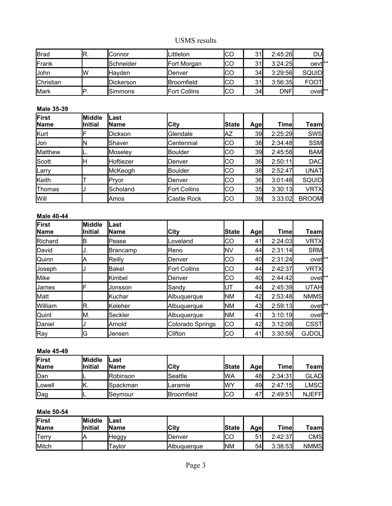| <b>I</b> Brad    | R. | Connor    | Littleton            | CО | $\sim$   | 2:45:26     | DU               |
|------------------|----|-----------|----------------------|----|----------|-------------|------------------|
| Frank            |    | Schneider | Fort Morgan          | CO | $\Omega$ | 3:24:25     | oevti**          |
| John             | ΙW | lHavden.  | IDenver              | CО | 34       | 3:29:56     | SQUID            |
| <b>Christian</b> |    | Dickerson | <b>I</b> Broomfield  | CО | n.       | 3:56:35     | <b>FOOT</b>      |
| <b>I</b> Mark    | P  | Simmons   | <b>IFort Collins</b> | CО | 34       | <b>DNFI</b> | ovet <b>l</b> ** |

#### **Male 35-39**

| First<br><b>IName</b> | <b>Middle</b><br><b>Initial</b> | lLast<br>lName | <b>City</b>         | <b>State</b> | Agel | Timel   | Team∣        |
|-----------------------|---------------------------------|----------------|---------------------|--------------|------|---------|--------------|
| Kurt                  |                                 | Dickson        | <b>I</b> Glendale   | AZ           | 39   | 2:25:29 | SWS          |
| <b>Jon</b>            | N                               | Shaver         | Centennial          | lCO          | 38   | 2:34:48 | <b>SSM</b>   |
| Matthew               | L.                              | Moseley        | Boulder             | IСO          | 39   | 2:45:58 | <b>BAM</b>   |
| <b>Scott</b>          | н                               | Hoftiezer      | <b>I</b> Denver     | IСO          | 36I  | 2:50:11 | <b>DAC</b>   |
| Larry                 |                                 | McKeogh        | Boulder             | IСO          | 38   | 2:52:47 | <b>UNAT</b>  |
| Keith                 |                                 | <b>Pryor</b>   | <b>I</b> Denver     | IСO          | 36   | 3:01:48 | <b>SQUID</b> |
| Thomas                |                                 | Scholand       | <b>Fort Collins</b> | lCO          | 35   | 3:30:13 | VRTX         |
| <b>Will</b>           |                                 | <b>Amos</b>    | Castle Rock         | IСO          | 39   | 3:33:02 | <b>BROOM</b> |

#### **Male 40-44**

| First<br>Name | <b>Middle</b><br>lInitial | Last<br>IName | City                | <b>State</b> | <b>Agel</b> | Timel   | <b>Team</b>        |
|---------------|---------------------------|---------------|---------------------|--------------|-------------|---------|--------------------|
| Richard       | IB                        | Pease         | Loveland            | CО           | 41          | 2:24:03 | <b>VRTX</b>        |
| David         | IJ.                       | Brancamp      | lReno               | INV          | 44          | 2:31:14 | <b>SRM</b>         |
| Quinn         | ΙA                        | Reilly        | lDenver             | СO           | 40I         | 2:31:24 | ovet <sup>**</sup> |
| Joseph        |                           | lBakel        | <b>Fort Collins</b> | СO           | 44          | 2:42:37 | <b>VRTX</b>        |
| Mike          |                           | lKimbel       | lDenver             | СO           | 40I         | 2:44:42 | ovet <sup>**</sup> |
| <b>IJames</b> | F                         | Jonsson       | Sandy               | UT           | 44          | 2:45:39 | <b>UTAH</b>        |
| <b>Matt</b>   |                           | Kuchar        | Albuquerque         | <b>INM</b>   | 42          | 2:53:48 | <b>NMMS</b>        |
| William       | R.                        | Keleher       | Albuquerque         | <b>INM</b>   | 43          | 2:59:13 | ovet <sup>**</sup> |
| Quint         | M.                        | Seckler       | Albuquerque         | <b>INM</b>   | 41          | 3:10:19 | ovet <sup>**</sup> |
| Daniel        | J                         | Arnold        | Colorado Springs    | СO           | 42          | 3:12:08 | <b>CSST</b>        |
| Ray           | G                         | Jensen        | Clifton             | lco          | 41          | 3:30:59 | <b>GJDOL</b>       |

### **Male 45-49**

| First<br><b>Name</b> | <b>IMiddle</b><br><b>Initial</b> | lLast<br><b>IName</b> | lCitv             | <b>State</b> | Age | Time    | Team          |
|----------------------|----------------------------------|-----------------------|-------------------|--------------|-----|---------|---------------|
| Dan                  | -                                | <b>Robinson</b>       | <b>Seattle</b>    | <b>IWA</b>   | 48I | 2:34:31 | <b>GLAD</b>   |
| <b>Lowell</b>        | IK.                              | ISpackman             | lLaramie          | lwy          | 49I | 2:47:15 | $\sf LMSCI$   |
| Dag                  | −                                | lSevmour              | <b>Broomfield</b> | lco          | 47  | 2:49:51 | <b>NJEFFI</b> |

### **Male 50-54**

| First<br><b>Name</b> | <b>IMiddle</b><br><b>Initial</b> | lLast<br><b>IName</b> | <b>ICity</b>       | <b>State</b> | Agel    | Time    | Team        |
|----------------------|----------------------------------|-----------------------|--------------------|--------------|---------|---------|-------------|
| <b>Terry</b>         | P                                | <b>Heggy</b>          | <b>IDenver</b>     | ICO          | 51<br>J | 2:42:37 | CMS         |
| Mitch                |                                  | Taylor                | <b>Albuaueraue</b> | <b>INM</b>   | 54      | 3:38:53 | <b>NMMS</b> |